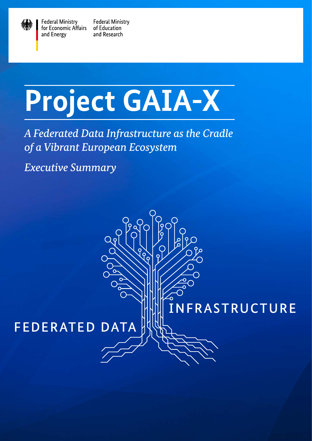

**Federal Ministry** for Economic Affairs and Energy

**Federal Ministry** of Education and Research

## **Project GAIA-X**

*A Federated Data Infrastructure as the Cradle of a Vibrant European Ecosystem*

INFRASTRUCTURE

*Executive Summary* 

## FEDERATED DATA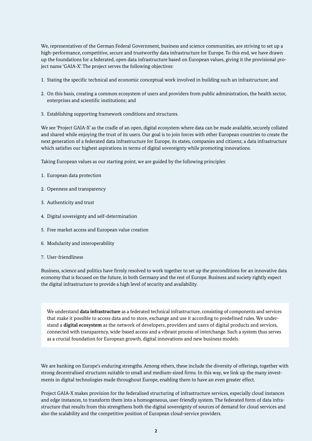We, representatives of the German Federal Government, business and science communities, are striving to set up a high-performance, competitive, secure and trustworthy data infrastructure for Europe. To this end, we have drawn up the foundations for a federated, open data infrastructure based on European values, giving it the provisional project name 'GAIA-X'. The project serves the following objectives:

- 1. Stating the specific technical and economic conceptual work involved in building such an infrastructure; and
- 2. On this basis, creating a common ecosystem of users and providers from public administration, the health sector, enterprises and scientific institutions; and
- 3. Establishing supporting framework conditions and structures.

We see 'Project GAIA-X' as the cradle of an open, digital ecosystem where data can be made available, securely collated and shared while enjoying the trust of its users. Our goal is to join forces with other European countries to create the next generation of a federated data infrastructure for Europe, its states, companies and citizens; a data infrastructure which satisfies our highest aspirations in terms of digital sovereignty while promoting innovations.

Taking European values as our starting point, we are guided by the following principles:

- 1. European data protection
- 2. Openness and transparency
- 3. Authenticity and trust
- 4. Digital sovereignty and self-determination
- 5. Free market access and European value creation
- 6. Modularity and interoperability
- 7. User-friendliness

Business, science and politics have firmly resolved to work together to set up the preconditions for an innovative data economy that is focused on the future, in both Germany and the rest of Europe. Business and society rightly expect the digital infrastructure to provide a high level of security and availability.

We understand **data infrastructure** as a federated technical infrastructure, consisting of components and services that make it possible to access data and to store, exchange and use it according to predefined rules. We understand a **digital ecosystem** as the network of developers, providers and users of digital products and services, connected with transparency, wide-based access and a vibrant process of interchange. Such a system thus serves as a crucial foundation for European growth, digital innovations and new business models.

We are banking on Europe's enduring strengths. Among others, these include the diversity of offerings, together with strong decentralised structures suitable to small and medium-sized firms. In this way, we link up the many investments in digital technologies made throughout Europe, enabling them to have an even greater effect.

Project GAIA-X makes provision for the federalised structuring of infrastructure services, especially cloud instances and edge instances, to transform them into a homogeneous, user-friendly system. The federated form of data infrastructure that results from this strengthens both the digital sovereignty of sources of demand for cloud services and also the scalability and the competitive position of European cloud-service providers.